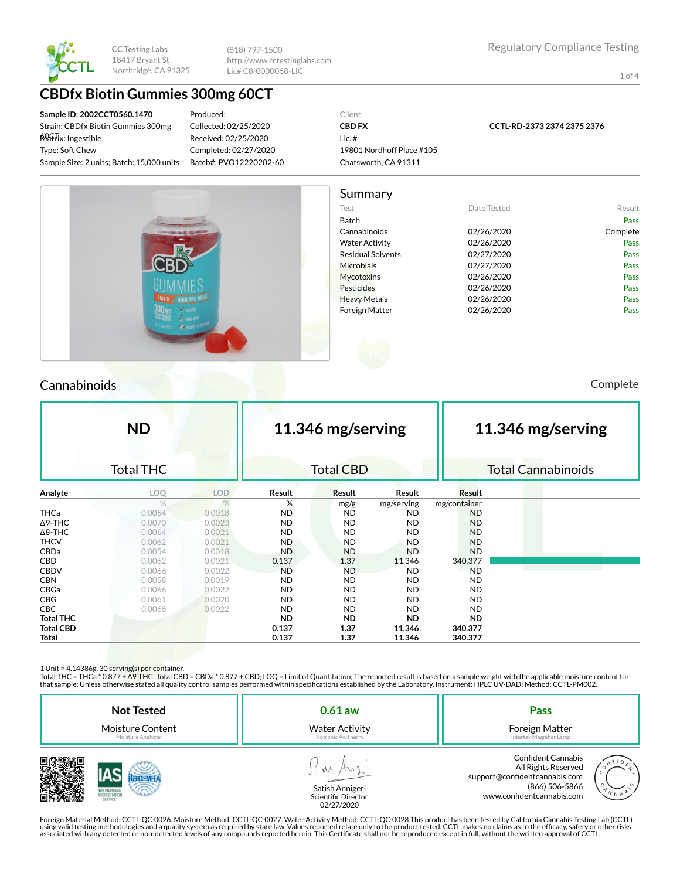

(818) 797-1500 http://www.cctestinglabs.com Lic# C8-0000068-LIC

1 of 4

# **CBDfx Biotin Gummies 300mg 60CT**

**Sample ID: 2002CCT0560.1470** Strain: CBDfx Biotin Gummies 300mg **Matrix:** Ingestible Type: Soft Chew Sample Size: 2 units; Batch: 15,000 units

Produced: Collected: 02/25/2020 Received: 02/25/2020 Completed: 02/27/2020 Batch#: PVO12220202-60

#### Client **CBD FX** Lic. # 19801 Nordhoff Place #105 Chatsworth, CA 91311

**CCTL-RD-2373 2374 2375 2376**



### Cannabinoids Complete

|                  | <b>ND</b>        |            |           | 11.346 mg/serving |            |              | 11.346 mg/serving         |  |
|------------------|------------------|------------|-----------|-------------------|------------|--------------|---------------------------|--|
|                  | <b>Total THC</b> |            |           | <b>Total CBD</b>  |            |              | <b>Total Cannabinoids</b> |  |
| Analyte          | LOQ              | <b>LOD</b> | Result    | Result            | Result     | Result       |                           |  |
|                  | $\%$             | %          | %         | mg/g              | mg/serving | mg/container |                           |  |
| <b>THCa</b>      | 0.0054           | 0.0018     | <b>ND</b> | <b>ND</b>         | <b>ND</b>  | ND           |                           |  |
| $\Delta$ 9-THC   | 0.0070           | 0.0023     | <b>ND</b> | <b>ND</b>         | <b>ND</b>  | <b>ND</b>    |                           |  |
| $\Delta$ 8-THC   | 0.0064           | 0.0021     | <b>ND</b> | <b>ND</b>         | <b>ND</b>  | <b>ND</b>    |                           |  |
| <b>THCV</b>      | 0.0062           | 0.0021     | <b>ND</b> | <b>ND</b>         | <b>ND</b>  | <b>ND</b>    |                           |  |
| CBDa             | 0.0054           | 0.0018     | <b>ND</b> | <b>ND</b>         | <b>ND</b>  | <b>ND</b>    |                           |  |
| CBD              | 0.0062           | 0.0021     | 0.137     | 1.37              | 11.346     | 340.377      |                           |  |
| <b>CBDV</b>      | 0.0066           | 0.0022     | <b>ND</b> | <b>ND</b>         | <b>ND</b>  | <b>ND</b>    |                           |  |
| <b>CBN</b>       | 0.0058           | 0.0019     | <b>ND</b> | <b>ND</b>         | <b>ND</b>  | ND.          |                           |  |
| CBGa             | 0.0066           | 0.0022     | <b>ND</b> | <b>ND</b>         | <b>ND</b>  | <b>ND</b>    |                           |  |
| <b>CBG</b>       | 0.0061           | 0.0020     | <b>ND</b> | <b>ND</b>         | <b>ND</b>  | ND.          |                           |  |
| <b>CBC</b>       | 0.0068           | 0.0022     | <b>ND</b> | <b>ND</b>         | <b>ND</b>  | ND.          |                           |  |
| <b>Total THC</b> |                  |            | <b>ND</b> | ND                | <b>ND</b>  | <b>ND</b>    |                           |  |
| <b>Total CBD</b> |                  |            | 0.137     | 1.37              | 11.346     | 340.377      |                           |  |
| Total            |                  |            | 0.137     | 1.37              | 11.346     | 340.377      |                           |  |

1 Unit = 4.14386g. 30 serving(s) per container.

Total THC = THCa \* 0.877 + ∆9-THC; Total CBD = CBDa \* 0.877 + CBD; LOQ = Limit of Quantitation; The reported result is based on a sample weight with the applicable moisture content for that sample; Unless otherwise stated all quality control samples performed within specifications established by the Laboratory. Instrument: HPLC UV-DAD; Method: CCTL-PM002.

| <b>Not Tested</b>       | $0.61$ aw                              | Pass                                                                                                                             |
|-------------------------|----------------------------------------|----------------------------------------------------------------------------------------------------------------------------------|
| <b>Moisture Content</b> | <b>Water Activity</b>                  | Foreign Matter                                                                                                                   |
| Moisture Analyzer       | Rotronic AwTherm                       | Intertek Magnifier Lamp                                                                                                          |
| <b>SERVICE</b>          | Satish Annigeri<br>Scientific Director | <b>Confident Cannabis</b><br>All Rights Reserved<br>support@confidentcannabis.com<br>(866) 506-5866<br>www.confidentcannabis.com |



Scientific Director 02/27/2020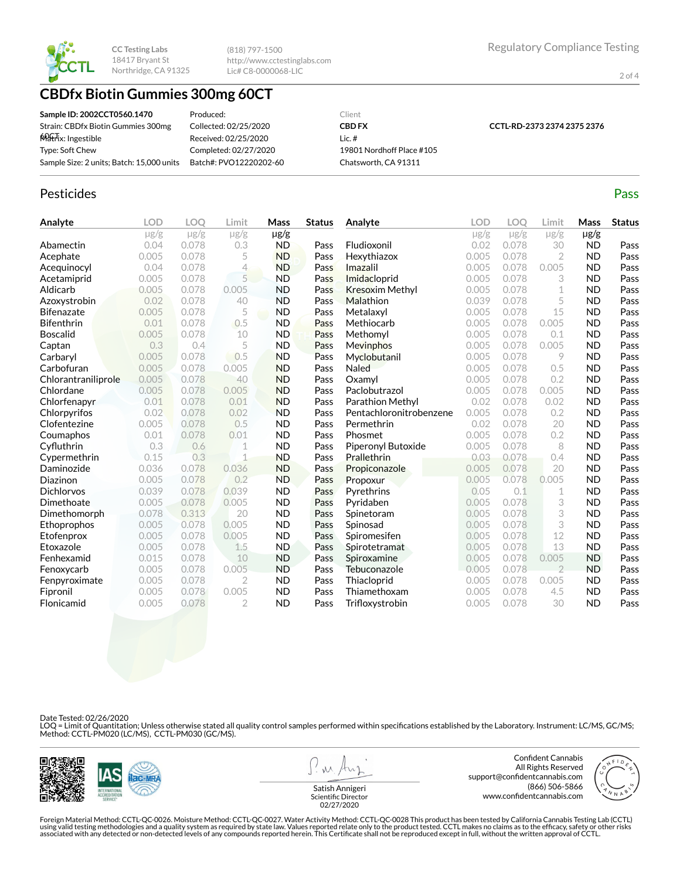

(818) 797-1500 http://www.cctestinglabs.com Lic# C8-0000068-LIC

# **CBDfx Biotin Gummies 300mg 60CT**

| Sample ID: 2002CCT0560.1470               | Produced:              | Client                    |
|-------------------------------------------|------------------------|---------------------------|
| Strain: CBDfx Biotin Gummies 300mg        | Collected: 02/25/2020  | <b>CBD FX</b>             |
| श्मिक्सिंग: Ingestible                    | Received: 02/25/2020   | Lic. $#$                  |
| Type: Soft Chew                           | Completed: 02/27/2020  | 19801 Nordhoff Place #105 |
| Sample Size: 2 units: Batch: 15,000 units | Batch#: PVO12220202-60 | Chatsworth, CA 91311      |
|                                           |                        |                           |

### Pesticides **Passage Contract Contract Contract Contract Contract Contract Contract Contract Contract Contract Contract Contract Contract Contract Contract Contract Contract Contract Contract Contract Contract Contract Cont**

| Analyte             | <b>LOD</b> | LOO       | Limit          | Mass      | <b>Status</b> | Analyte                 | LOD       | LOO       | Limit          | Mass      | <b>Status</b> |
|---------------------|------------|-----------|----------------|-----------|---------------|-------------------------|-----------|-----------|----------------|-----------|---------------|
|                     | $\mu$ g/g  | $\mu$ g/g | $\mu$ g/g      | $\mu$ g/g |               |                         | $\mu$ g/g | $\mu$ g/g | $\mu$ g/g      | $\mu$ g/g |               |
| Abamectin           | 0.04       | 0.078     | 0.3            | <b>ND</b> | Pass          | Fludioxonil             | 0.02      | 0.078     | 30             | <b>ND</b> | Pass          |
| Acephate            | 0.005      | 0.078     | 5              | <b>ND</b> | Pass          | Hexythiazox             | 0.005     | 0.078     | 2              | <b>ND</b> | Pass          |
| Acequinocyl         | 0.04       | 0.078     | 4              | <b>ND</b> | Pass          | Imazalil                | 0.005     | 0.078     | 0.005          | <b>ND</b> | Pass          |
| Acetamiprid         | 0.005      | 0.078     | 5              | <b>ND</b> | Pass          | Imidacloprid            | 0.005     | 0.078     | 3              | <b>ND</b> | Pass          |
| Aldicarb            | 0.005      | 0.078     | 0.005          | <b>ND</b> | Pass          | <b>Kresoxim Methyl</b>  | 0.005     | 0.078     | 1              | <b>ND</b> | Pass          |
| Azoxystrobin        | 0.02       | 0.078     | 40             | <b>ND</b> | Pass          | Malathion               | 0.039     | 0.078     | 5              | <b>ND</b> | Pass          |
| <b>Bifenazate</b>   | 0.005      | 0.078     | 5              | <b>ND</b> | Pass          | Metalaxyl               | 0.005     | 0.078     | 15             | <b>ND</b> | Pass          |
| <b>Bifenthrin</b>   | 0.01       | 0.078     | 0.5            | <b>ND</b> | Pass          | Methiocarb              | 0.005     | 0.078     | 0.005          | <b>ND</b> | Pass          |
| <b>Boscalid</b>     | 0.005      | 0.078     | 10             | <b>ND</b> | Pass          | Methomyl                | 0.005     | 0.078     | 0.1            | <b>ND</b> | Pass          |
| Captan              | 0.3        | 0.4       | 5              | <b>ND</b> | Pass          | <b>Mevinphos</b>        | 0.005     | 0.078     | 0.005          | <b>ND</b> | Pass          |
| Carbaryl            | 0.005      | 0.078     | 0.5            | <b>ND</b> | Pass          | Myclobutanil            | 0.005     | 0.078     | 9              | <b>ND</b> | Pass          |
| Carbofuran          | 0.005      | 0.078     | 0.005          | <b>ND</b> | Pass          | <b>Naled</b>            | 0.005     | 0.078     | 0.5            | <b>ND</b> | Pass          |
| Chlorantraniliprole | 0.005      | 0.078     | 40             | <b>ND</b> | Pass          | Oxamyl                  | 0.005     | 0.078     | 0.2            | <b>ND</b> | Pass          |
| Chlordane           | 0.005      | 0.078     | 0.005          | <b>ND</b> | Pass          | Paclobutrazol           | 0.005     | 0.078     | 0.005          | <b>ND</b> | Pass          |
| Chlorfenapyr        | 0.01       | 0.078     | 0.01           | <b>ND</b> | Pass          | Parathion Methyl        | 0.02      | 0.078     | 0.02           | <b>ND</b> | Pass          |
| Chlorpyrifos        | 0.02       | 0.078     | 0.02           | <b>ND</b> | Pass          | Pentachloronitrobenzene | 0.005     | 0.078     | 0.2            | <b>ND</b> | Pass          |
| Clofentezine        | 0.005      | 0.078     | 0.5            | <b>ND</b> | Pass          | Permethrin              | 0.02      | 0.078     | 20             | <b>ND</b> | Pass          |
| Coumaphos           | 0.01       | 0.078     | 0.01           | <b>ND</b> | Pass          | Phosmet                 | 0.005     | 0.078     | 0.2            | <b>ND</b> | Pass          |
| Cyfluthrin          | 0.3        | 0.6       | 1              | <b>ND</b> | Pass          | Piperonyl Butoxide      | 0.005     | 0.078     | 8              | <b>ND</b> | Pass          |
| Cypermethrin        | 0.15       | 0.3       | 1              | <b>ND</b> | Pass          | Prallethrin             | 0.03      | 0.078     | 0.4            | <b>ND</b> | Pass          |
| Daminozide          | 0.036      | 0.078     | 0.036          | <b>ND</b> | Pass          | Propiconazole           | 0.005     | 0.078     | 20             | <b>ND</b> | Pass          |
| Diazinon            | 0.005      | 0.078     | 0.2            | <b>ND</b> | Pass          | Propoxur                | 0.005     | 0.078     | 0.005          | <b>ND</b> | Pass          |
| <b>Dichlorvos</b>   | 0.039      | 0.078     | 0.039          | <b>ND</b> | Pass          | Pyrethrins              | 0.05      | 0.1       | 1              | <b>ND</b> | Pass          |
| Dimethoate          | 0.005      | 0.078     | 0.005          | <b>ND</b> | Pass          | Pyridaben               | 0.005     | 0.078     | 3              | <b>ND</b> | Pass          |
| Dimethomorph        | 0.078      | 0.313     | 20             | <b>ND</b> | Pass          | Spinetoram              | 0.005     | 0.078     | 3              | <b>ND</b> | Pass          |
| Ethoprophos         | 0.005      | 0.078     | 0.005          | <b>ND</b> | Pass          | Spinosad                | 0.005     | 0.078     | 3              | <b>ND</b> | Pass          |
| Etofenprox          | 0.005      | 0.078     | 0.005          | <b>ND</b> | Pass          | Spiromesifen            | 0.005     | 0.078     | 12             | <b>ND</b> | Pass          |
| Etoxazole           | 0.005      | 0.078     | 1.5            | <b>ND</b> | Pass          | Spirotetramat           | 0.005     | 0.078     | 13             | <b>ND</b> | Pass          |
| Fenhexamid          | 0.015      | 0.078     | 10             | <b>ND</b> | Pass          | Spiroxamine             | 0.005     | 0.078     | 0.005          | <b>ND</b> | Pass          |
| Fenoxycarb          | 0.005      | 0.078     | 0.005          | <b>ND</b> | Pass          | Tebuconazole            | 0.005     | 0.078     | $\overline{2}$ | <b>ND</b> | Pass          |
| Fenpyroximate       | 0.005      | 0.078     | $\overline{2}$ | <b>ND</b> | Pass          | Thiacloprid             | 0.005     | 0.078     | 0.005          | <b>ND</b> | Pass          |
| Fipronil            | 0.005      | 0.078     | 0.005          | <b>ND</b> | Pass          | Thiamethoxam            | 0.005     | 0.078     | 4.5            | <b>ND</b> | Pass          |
| Flonicamid          | 0.005      | 0.078     | $\overline{2}$ | <b>ND</b> | Pass          | Trifloxystrobin         | 0.005     | 0.078     | 30             | <b>ND</b> | Pass          |

Date Tested: 02/26/2020

LOQ = Limit of Quantitation; Unless otherwise stated all quality control samples performed within specifications established by the Laboratory. Instrument: LC/MS, GC/MS;<br>Method: CCTL-PM020 (LC/MS), CCTL-PM030 (GC/MS).



**W** 

Confident Cannabis All Rights Reserved support@confidentcannabis.com (866) 506-5866 www.confidentcannabis.com



Satish Annigeri Scientific Director 02/27/2020

Regulatory Compliance Testing

**CCTL-RD-2373 2374 2375 2376**

2 of 4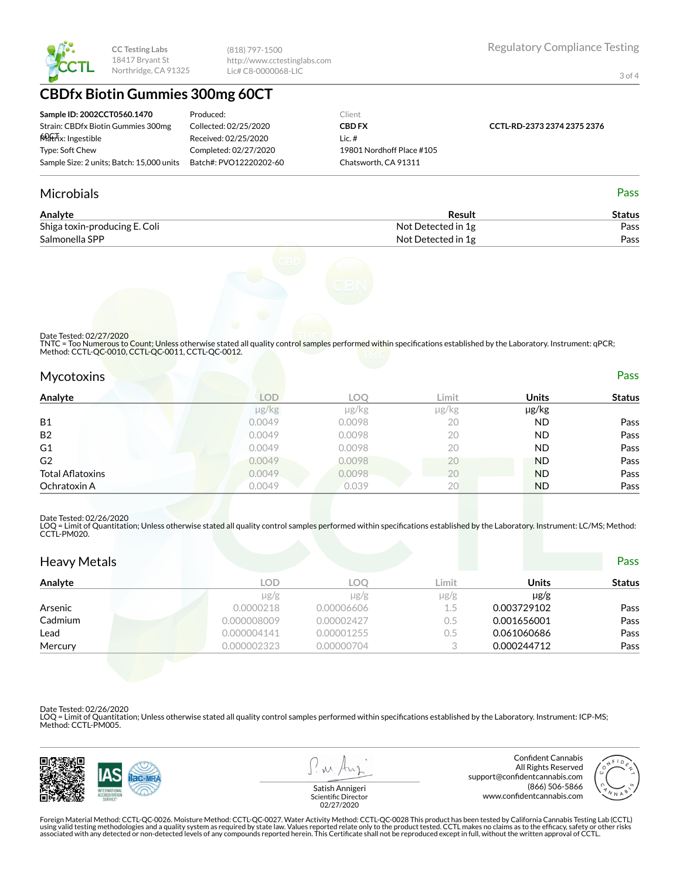

(818) 797-1500 http://www.cctestinglabs.com Lic# C8-0000068-LIC

3 of 4

# **CBDfx Biotin Gummies 300mg 60CT**

| Sample ID: 2002CCT0560.1470               | Produced:              | Client                    |                             |
|-------------------------------------------|------------------------|---------------------------|-----------------------------|
| Strain: CBDfx Biotin Gummies 300mg        | Collected: 02/25/2020  | <b>CBD FX</b>             | CCTL-RD-2373 2374 2375 2376 |
| श्मि सिंगः Ingestible                     | Received: 02/25/2020   | Lic. $#$                  |                             |
| Type: Soft Chew                           | Completed: 02/27/2020  | 19801 Nordhoff Place #105 |                             |
| Sample Size: 2 units; Batch: 15,000 units | Batch#: PVO12220202-60 | Chatsworth, CA 91311      |                             |

#### Microbials Pass

| Analyte                       | Result             | Status |
|-------------------------------|--------------------|--------|
| Shiga toxin-producing E. Coli | Not Detected in 1g | Pass   |
| Salmonella SPP                | Not Detected in 1g | Pass   |



#### Date Tested: 02/27/2020

TNTC = Too Numerous to Count; Unless otherwise stated all quality control samples performed within specifications established by the Laboratory. Instrument: qPCR; Method: CCTL-QC-0010, CCTL-QC-0011, CCTL-QC-0012.

| <b>Mycotoxins</b> |        |        |       |              | Pass          |
|-------------------|--------|--------|-------|--------------|---------------|
| Analyte           | LOD    | LOC    | Limit | <b>Units</b> | <b>Status</b> |
|                   | µg/kg  | µg/kg  | µg/kg | µg/kg        |               |
| <b>B1</b>         | 0.0049 | 0.0098 | 20    | <b>ND</b>    | Pass          |
| R <sub>2</sub>    | ,,0049 | 0.0098 |       | NГ           | Pass          |

|                  | µg/kg  | µg/kg  | µg/kg | µg/kg     |      |
|------------------|--------|--------|-------|-----------|------|
| <b>B1</b>        | 0.0049 | 0.0098 | 20    | <b>ND</b> | Pass |
| <b>B2</b>        | 0.0049 | 0.0098 | 20    | <b>ND</b> | Pass |
| G <sub>1</sub>   | 0.0049 | 0.0098 | 20    | ND        | Pass |
| G <sub>2</sub>   | 0.0049 | 0.0098 | 20    | <b>ND</b> | Pass |
| Total Aflatoxins | 0.0049 | 0.0098 | 20    | <b>ND</b> | Pass |
| Ochratoxin A     | 0.0049 | 0.039  | 20    | <b>ND</b> | Pass |

#### Date Tested: 02/26/2020

LOQ = Limit of Quantitation; Unless otherwise stated all quality control samples performed within specifications established by the Laboratory. Instrument: LC/MS; Method:<br>CCTL-PM020.

| <b>Heavy Metals</b> |             |            |           |              | <b>Pass</b>   |
|---------------------|-------------|------------|-----------|--------------|---------------|
| Analyte             | <b>LOD</b>  | LOO        | Limit     | <b>Units</b> | <b>Status</b> |
|                     | $\mu$ g/g   | $\mu$ g/g  | $\mu$ g/g | $\mu$ g/g    |               |
| Arsenic             | 0.0000218   | 0.00006606 | $1.5\,$   | 0.003729102  | Pass          |
| Cadmium             | 0.000008009 | 0.00002427 | 0.5       | 0.001656001  | Pass          |
| Lead                | 0.000004141 | 0.00001255 | 0.5       | 0.061060686  | Pass          |
| Mercury             | 0.000002323 | 0.00000704 |           | 0.000244712  | Pass          |

Date Tested: 02/26/2020

LOQ = Limit of Quantitation; Unless otherwise stated all quality control samples performed within specifications established by the Laboratory. Instrument: ICP-MS; Method: CCTL-PM005.



 $\lambda$ 

Confident Cannabis All Rights Reserved support@confidentcannabis.com (866) 506-5866 www.confidentcannabis.com



Satish Annigeri Scientific Director 02/27/2020